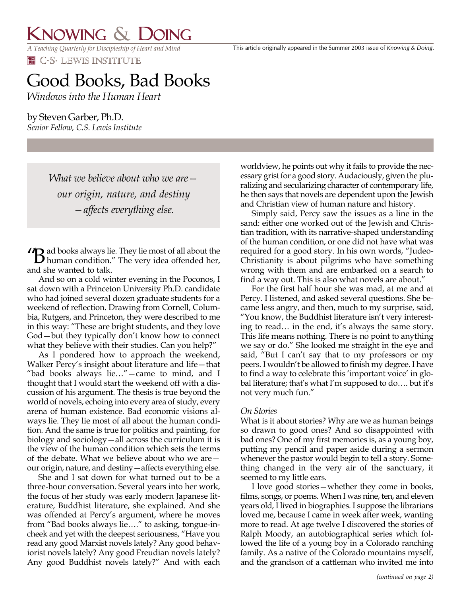## KNOWING & DOING

*A Teaching Quarterly for Discipleship of Heart and Mind* **EN** C.S. LEWIS INSTITUTE

# Good Books, Bad Books

*Windows into the Human Heart*

by Steven Garber, Ph.D. *Senior Fellow, C.S. Lewis Institute*

> *What we believe about who we are our origin, nature, and destiny —affects everything else.*

ad books always lie. They lie most of all about the **1 B** ad books always lie. They lie most of all about the human condition." The very idea offended her, and she wanted to talk.

And so on a cold winter evening in the Poconos, I sat down with a Princeton University Ph.D. candidate who had joined several dozen graduate students for a weekend of reflection. Drawing from Cornell, Columbia, Rutgers, and Princeton, they were described to me in this way: "These are bright students, and they love God—but they typically don't know how to connect what they believe with their studies. Can you help?"

As I pondered how to approach the weekend, Walker Percy's insight about literature and life—that "bad books always lie…"—came to mind, and I thought that I would start the weekend off with a discussion of his argument. The thesis is true beyond the world of novels, echoing into every area of study, every arena of human existence. Bad economic visions always lie. They lie most of all about the human condition. And the same is true for politics and painting, for biology and sociology—all across the curriculum it is the view of the human condition which sets the terms of the debate. What we believe about who we are our origin, nature, and destiny—affects everything else.

She and I sat down for what turned out to be a three-hour conversation. Several years into her work, the focus of her study was early modern Japanese literature, Buddhist literature, she explained. And she was offended at Percy's argument, where he moves from "Bad books always lie…." to asking, tongue-incheek and yet with the deepest seriousness, "Have you read any good Marxist novels lately? Any good behaviorist novels lately? Any good Freudian novels lately? Any good Buddhist novels lately?" And with each worldview, he points out why it fails to provide the necessary grist for a good story. Audaciously, given the pluralizing and secularizing character of contemporary life, he then says that novels are dependent upon the Jewish and Christian view of human nature and history.

Simply said, Percy saw the issues as a line in the sand: either one worked out of the Jewish and Christian tradition, with its narrative-shaped understanding of the human condition, or one did not have what was required for a good story. In his own words, "Judeo-Christianity is about pilgrims who have something wrong with them and are embarked on a search to find a way out. This is also what novels are about."

For the first half hour she was mad, at me and at Percy. I listened, and asked several questions. She became less angry, and then, much to my surprise, said, "You know, the Buddhist literature isn't very interesting to read… in the end, it's always the same story. This life means nothing. There is no point to anything we say or do." She looked me straight in the eye and said, "But I can't say that to my professors or my peers. I wouldn't be allowed to finish my degree. I have to find a way to celebrate this 'important voice' in global literature; that's what I'm supposed to do…. but it's not very much fun."

### *On Stories*

What is it about stories? Why are we as human beings so drawn to good ones? And so disappointed with bad ones? One of my first memories is, as a young boy, putting my pencil and paper aside during a sermon whenever the pastor would begin to tell a story. Something changed in the very air of the sanctuary, it seemed to my little ears.

I love good stories—whether they come in books, films, songs, or poems. When I was nine, ten, and eleven years old, I lived in biographies. I suppose the librarians loved me, because I came in week after week, wanting more to read. At age twelve I discovered the stories of Ralph Moody, an autobiographical series which followed the life of a young boy in a Colorado ranching family. As a native of the Colorado mountains myself, and the grandson of a cattleman who invited me into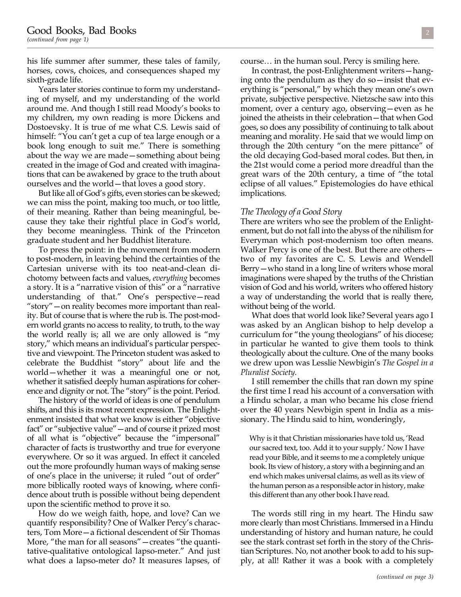his life summer after summer, these tales of family, horses, cows, choices, and consequences shaped my sixth-grade life.

Years later stories continue to form my understanding of myself, and my understanding of the world around me. And though I still read Moody's books to my children, my own reading is more Dickens and Dostoevsky. It is true of me what C.S. Lewis said of himself: "You can't get a cup of tea large enough or a book long enough to suit me." There is something about the way we are made—something about being created in the image of God and created with imaginations that can be awakened by grace to the truth about ourselves and the world—that loves a good story.

But like all of God's gifts, even stories can be skewed; we can miss the point, making too much, or too little, of their meaning. Rather than being meaningful, because they take their rightful place in God's world, they become meaningless. Think of the Princeton graduate student and her Buddhist literature.

To press the point: in the movement from modern to post-modern, in leaving behind the certainties of the Cartesian universe with its too neat-and-clean dichotomy between facts and values, *everything* becomes a story. It is a "narrative vision of this" or a "narrative understanding of that." One's perspective—read "story"—on reality becomes more important than reality. But of course that is where the rub is. The post-modern world grants no access to reality, to truth, to the way the world really is; all we are only allowed is "my story," which means an individual's particular perspective and viewpoint. The Princeton student was asked to celebrate the Buddhist "story" about life and the world—whether it was a meaningful one or not, whether it satisfied deeply human aspirations for coherence and dignity or not. The "story" is the point. Period.

The history of the world of ideas is one of pendulum shifts, and this is its most recent expression. The Enlightenment insisted that what we know is either "objective fact" or "subjective value"—and of course it prized most of all what is "objective" because the "impersonal" character of facts is trustworthy and true for everyone everywhere. Or so it was argued. In effect it canceled out the more profoundly human ways of making sense of one's place in the universe; it ruled "out of order" more biblically rooted ways of knowing, where confidence about truth is possible without being dependent upon the scientific method to prove it so.

How do we weigh faith, hope, and love? Can we quantify responsibility? One of Walker Percy's characters, Tom More—a fictional descendent of Sir Thomas More, "the man for all seasons"—creates "the quantitative-qualitative ontological lapso-meter." And just what does a lapso-meter do? It measures lapses, of course… in the human soul. Percy is smiling here.

In contrast, the post-Enlightenment writers—hanging onto the pendulum as they do so—insist that everything is "personal," by which they mean one's own private, subjective perspective. Nietzsche saw into this moment, over a century ago, observing—even as he joined the atheists in their celebration—that when God goes, so does any possibility of continuing to talk about meaning and morality. He said that we would limp on through the 20th century "on the mere pittance" of the old decaying God-based moral codes. But then, in the 21st would come a period more dreadful than the great wars of the 20th century, a time of "the total eclipse of all values." Epistemologies do have ethical implications.

#### *The Theology of a Good Story*

There are writers who see the problem of the Enlightenment, but do not fall into the abyss of the nihilism for Everyman which post-modernism too often means. Walker Percy is one of the best. But there are others two of my favorites are C. S. Lewis and Wendell Berry—who stand in a long line of writers whose moral imaginations were shaped by the truths of the Christian vision of God and his world, writers who offered history a way of understanding the world that is really there, without being of the world.

What does that world look like? Several years ago I was asked by an Anglican bishop to help develop a curriculum for "the young theologians" of his diocese; in particular he wanted to give them tools to think theologically about the culture. One of the many books we drew upon was Lesslie Newbigin's *The Gospel in a Pluralist Society.*

I still remember the chills that ran down my spine the first time I read his account of a conversation with a Hindu scholar, a man who became his close friend over the 40 years Newbigin spent in India as a missionary. The Hindu said to him, wonderingly,

Why is it that Christian missionaries have told us, 'Read our sacred text, too. Add it to your supply.' Now I have read your Bible, and it seems to me a completely unique book. Its view of history, a story with a beginning and an end which makes universal claims, as well as its view of the human person as a responsible actor in history, make this different than any other book I have read.

The words still ring in my heart. The Hindu saw more clearly than most Christians. Immersed in a Hindu understanding of history and human nature, he could see the stark contrast set forth in the story of the Christian Scriptures. No, not another book to add to his supply, at all! Rather it was a book with a completely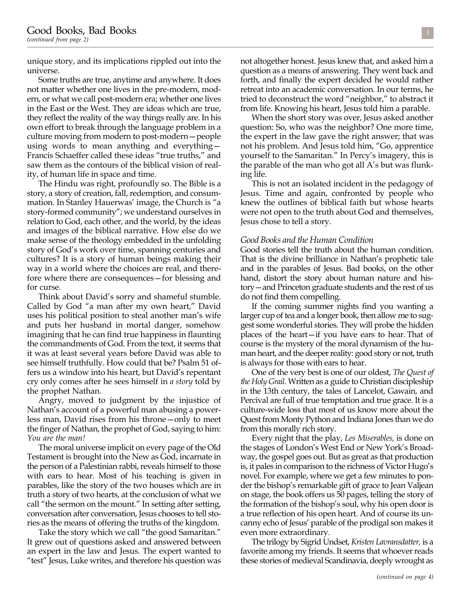unique story, and its implications rippled out into the universe.

Some truths are true, anytime and anywhere. It does not matter whether one lives in the pre-modern, modern, or what we call post-modern era; whether one lives in the East or the West. They are ideas which are true, they reflect the reality of the way things really are. In his own effort to break through the language problem in a culture moving from modern to post-modern—people using words to mean anything and everything— Francis Schaeffer called these ideas "true truths," and saw them as the contours of the biblical vision of reality, of human life in space and time.

The Hindu was right, profoundly so. The Bible is a story, a story of creation, fall, redemption, and consummation. In Stanley Hauerwas' image, the Church is "a story-formed community"; we understand ourselves in relation to God, each other, and the world, by the ideas and images of the biblical narrative. How else do we make sense of the theology embedded in the unfolding story of God's work over time, spanning centuries and cultures? It is a story of human beings making their way in a world where the choices are real, and therefore where there are consequences—for blessing and for curse.

Think about David's sorry and shameful stumble. Called by God "a man after my own heart," David uses his political position to steal another man's wife and puts her husband in mortal danger, somehow imagining that he can find true happiness in flaunting the commandments of God. From the text, it seems that it was at least several years before David was able to see himself truthfully. How could that be? Psalm 51 offers us a window into his heart, but David's repentant cry only comes after he sees himself in *a story* told by the prophet Nathan.

Angry, moved to judgment by the injustice of Nathan's account of a powerful man abusing a powerless man, David rises from his throne—only to meet the finger of Nathan, the prophet of God, saying to him: *You are the man!*

The moral universe implicit on every page of the Old Testament is brought into the New as God, incarnate in the person of a Palestinian rabbi, reveals himself to those with ears to hear. Most of his teaching is given in parables, like the story of the two houses which are in truth a story of two hearts, at the conclusion of what we call "the sermon on the mount." In setting after setting, conversation after conversation, Jesus chooses to tell stories as the means of offering the truths of the kingdom.

Take the story which we call "the good Samaritan." It grew out of questions asked and answered between an expert in the law and Jesus. The expert wanted to "test" Jesus, Luke writes, and therefore his question was not altogether honest. Jesus knew that, and asked him a question as a means of answering. They went back and forth, and finally the expert decided he would rather retreat into an academic conversation. In our terms, he tried to deconstruct the word "neighbor," to abstract it from life. Knowing his heart, Jesus told him a parable.

When the short story was over, Jesus asked another question: So, who was the neighbor? One more time, the expert in the law gave the right answer; that was not his problem. And Jesus told him, "Go, apprentice yourself to the Samaritan." In Percy's imagery, this is the parable of the man who got all A's but was flunking life.

This is not an isolated incident in the pedagogy of Jesus. Time and again, confronted by people who knew the outlines of biblical faith but whose hearts were not open to the truth about God and themselves, Jesus chose to tell a story.

### *Good Books and the Human Condition*

Good stories tell the truth about the human condition. That is the divine brilliance in Nathan's prophetic tale and in the parables of Jesus. Bad books, on the other hand, distort the story about human nature and history—and Princeton graduate students and the rest of us do not find them compelling.

If the coming summer nights find you wanting a larger cup of tea and a longer book, then allow me to suggest some wonderful stories. They will probe the hidden places of the heart—if you have ears to hear. That of course is the mystery of the moral dynamism of the human heart, and the deeper reality: good story or not, truth is always for those with ears to hear.

One of the very best is one of our oldest, *The Quest of the Holy Grail.* Written as a guide to Christian discipleship in the 13th century, the tales of Lancelot, Gawain, and Percival are full of true temptation and true grace. It is a culture-wide loss that most of us know more about the Quest from Monty Python and Indiana Jones than we do from this morally rich story.

Every night that the play, *Les Miserables,* is done on the stages of London's West End or New York's Broadway, the gospel goes out. But as great as that production is, it pales in comparison to the richness of Victor Hugo's novel. For example, where we get a few minutes to ponder the bishop's remarkable gift of grace to Jean Valjean on stage, the book offers us 50 pages, telling the story of the formation of the bishop's soul, why his open door is a true reflection of his open heart. And of course its uncanny echo of Jesus' parable of the prodigal son makes it even more extraordinary.

The trilogy by Sigrid Undset, *Kristen Lavransdatter,* is a favorite among my friends. It seems that whoever reads these stories of medieval Scandinavia, deeply wrought as